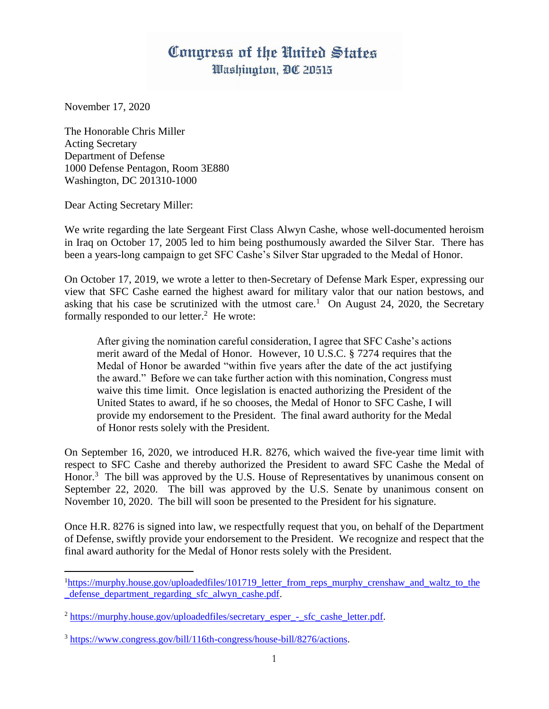## Congress of the United States Washington, DC 20515

November 17, 2020

The Honorable Chris Miller Acting Secretary Department of Defense 1000 Defense Pentagon, Room 3E880 Washington, DC 201310-1000

Dear Acting Secretary Miller:

We write regarding the late Sergeant First Class Alwyn Cashe, whose well-documented heroism in Iraq on October 17, 2005 led to him being posthumously awarded the Silver Star. There has been a years-long campaign to get SFC Cashe's Silver Star upgraded to the Medal of Honor.

On October 17, 2019, we wrote a letter to then-Secretary of Defense Mark Esper, expressing our view that SFC Cashe earned the highest award for military valor that our nation bestows, and asking that his case be scrutinized with the utmost care.<sup>1</sup> On August 24, 2020, the Secretary formally responded to our letter.<sup>2</sup> He wrote:

After giving the nomination careful consideration, I agree that SFC Cashe's actions merit award of the Medal of Honor. However, 10 U.S.C. § 7274 requires that the Medal of Honor be awarded "within five years after the date of the act justifying the award." Before we can take further action with this nomination, Congress must waive this time limit. Once legislation is enacted authorizing the President of the United States to award, if he so chooses, the Medal of Honor to SFC Cashe, I will provide my endorsement to the President. The final award authority for the Medal of Honor rests solely with the President.

On September 16, 2020, we introduced H.R. 8276, which waived the five-year time limit with respect to SFC Cashe and thereby authorized the President to award SFC Cashe the Medal of Honor.<sup>3</sup> The bill was approved by the U.S. House of Representatives by unanimous consent on September 22, 2020. The bill was approved by the U.S. Senate by unanimous consent on November 10, 2020. The bill will soon be presented to the President for his signature.

Once H.R. 8276 is signed into law, we respectfully request that you, on behalf of the Department of Defense, swiftly provide your endorsement to the President. We recognize and respect that the final award authority for the Medal of Honor rests solely with the President.

<sup>1</sup>[https://murphy.house.gov/uploadedfiles/101719\\_letter\\_from\\_reps\\_murphy\\_crenshaw\\_and\\_waltz\\_to\\_the](https://murphy.house.gov/uploadedfiles/101719_letter_from_reps_murphy_crenshaw_and_waltz_to_the_defense_department_regarding_sfc_alwyn_cashe.pdf) defense department regarding sfc alwyn cashe.pdf.

<sup>&</sup>lt;sup>2</sup> [https://murphy.house.gov/uploadedfiles/secretary\\_esper\\_-\\_sfc\\_cashe\\_letter.pdf.](https://murphy.house.gov/uploadedfiles/secretary_esper_-_sfc_cashe_letter.pdf)

<sup>3</sup> [https://www.congress.gov/bill/116th-congress/house-bill/8276/actions.](https://www.congress.gov/bill/116th-congress/house-bill/8276/actions)